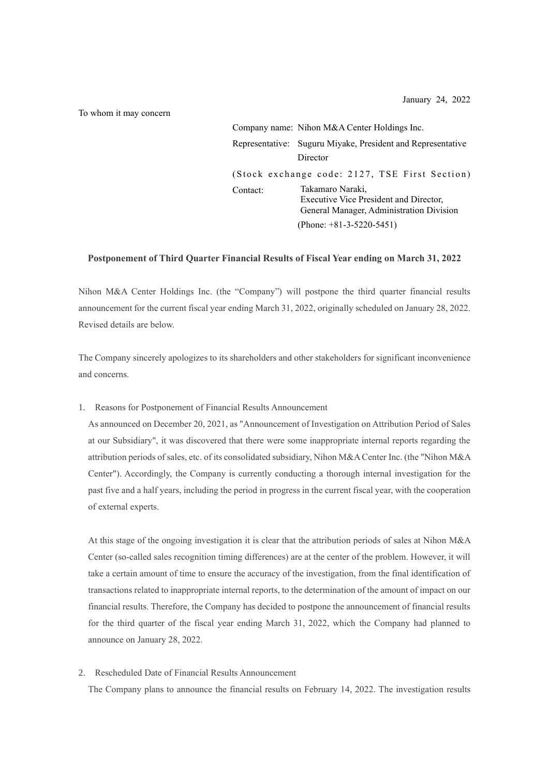January 24, 2022

To whom it may concern

|          | Company name: Nihon M&A Center Holdings Inc.                                                           |
|----------|--------------------------------------------------------------------------------------------------------|
|          | Representative: Suguru Miyake, President and Representative<br>Director                                |
|          | (Stock exchange code: 2127, TSE First Section)                                                         |
| Contact: | Takamaro Naraki,<br>Executive Vice President and Director,<br>General Manager, Administration Division |
|          | (Phone: $+81-3-5220-5451$ )                                                                            |

## **Postponement of Third Quarter Financial Results of Fiscal Year ending on March 31, 2022**

Nihon M&A Center Holdings Inc. (the "Company") will postpone the third quarter financial results announcement for the current fiscal year ending March 31, 2022, originally scheduled on January 28, 2022. Revised details are below.

The Company sincerely apologizes to its shareholders and other stakeholders for significant inconvenience and concerns.

1. Reasons for Postponement of Financial Results Announcement

As announced on December 20, 2021, as "Announcement of Investigation on Attribution Period of Sales at our Subsidiary", it was discovered that there were some inappropriate internal reports regarding the attribution periods of sales, etc. of its consolidated subsidiary, Nihon M&A Center Inc. (the "Nihon M&A Center"). Accordingly, the Company is currently conducting a thorough internal investigation for the past five and a half years, including the period in progress in the current fiscal year, with the cooperation of external experts.

At this stage of the ongoing investigation it is clear that the attribution periods of sales at Nihon M&A Center (so-called sales recognition timing differences) are at the center of the problem. However, it will take a certain amount of time to ensure the accuracy of the investigation, from the final identification of transactions related to inappropriate internal reports, to the determination of the amount of impact on our financial results. Therefore, the Company has decided to postpone the announcement of financial results for the third quarter of the fiscal year ending March 31, 2022, which the Company had planned to announce on January 28, 2022.

2. Rescheduled Date of Financial Results Announcement

The Company plans to announce the financial results on February 14, 2022. The investigation results